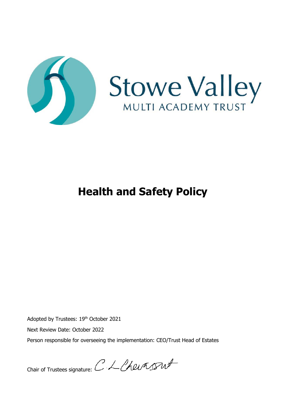

# **Health and Safety Policy**

Adopted by Trustees: 19<sup>th</sup> October 2021

Next Review Date: October 2022

Person responsible for overseeing the implementation: CEO/Trust Head of Estates

Chair of Trustees signature:  $C \nmid$  Chevassut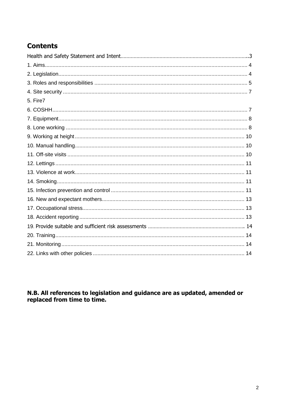## **Contents**

| 5. Fire7 |  |
|----------|--|
|          |  |
|          |  |
|          |  |
|          |  |
|          |  |
|          |  |
|          |  |
|          |  |
|          |  |
|          |  |
|          |  |
|          |  |
|          |  |
|          |  |
|          |  |
|          |  |
|          |  |

N.B. All references to legislation and guidance are as updated, amended or replaced from time to time.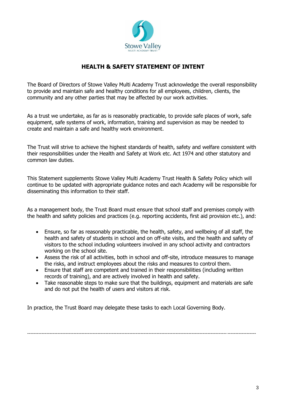

## **HEALTH & SAFETY STATEMENT OF INTENT**

The Board of Directors of Stowe Valley Multi Academy Trust acknowledge the overall responsibility to provide and maintain safe and healthy conditions for all employees, children, clients, the community and any other parties that may be affected by our work activities.

As a trust we undertake, as far as is reasonably practicable, to provide safe places of work, safe equipment, safe systems of work, information, training and supervision as may be needed to create and maintain a safe and healthy work environment.

The Trust will strive to achieve the highest standards of health, safety and welfare consistent with their responsibilities under the Health and Safety at Work etc. Act 1974 and other statutory and common law duties.

This Statement supplements Stowe Valley Multi Academy Trust Health & Safety Policy which will continue to be updated with appropriate guidance notes and each Academy will be responsible for disseminating this information to their staff.

As a management body, the Trust Board must ensure that school staff and premises comply with the health and safety policies and practices (e.g. reporting accidents, first aid provision etc.), and:

- Ensure, so far as reasonably practicable, the health, safety, and wellbeing of all staff, the health and safety of students in school and on off-site visits, and the health and safety of visitors to the school including volunteers involved in any school activity and contractors working on the school site.
- Assess the risk of all activities, both in school and off-site, introduce measures to manage the risks, and instruct employees about the risks and measures to control them.
- Ensure that staff are competent and trained in their responsibilities (including written records of training), and are actively involved in health and safety.
- Take reasonable steps to make sure that the buildings, equipment and materials are safe and do not put the health of users and visitors at risk.

In practice, the Trust Board may delegate these tasks to each Local Governing Body.

-----------------------------------------------------------------------------------------------------------------------------------------------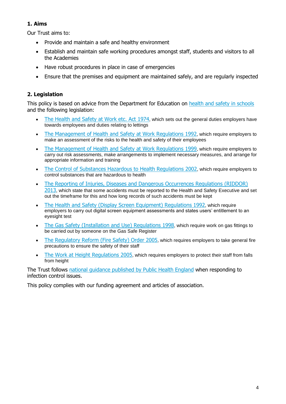## **1. Aims**

Our Trust aims to:

- Provide and maintain a safe and healthy environment
- Establish and maintain safe working procedures amongst staff, students and visitors to all the Academies
- Have robust procedures in place in case of emergencies
- Ensure that the premises and equipment are maintained safely, and are regularly inspected

## **2. Legislation**

This policy is based on advice from the Department for Education on [health and safety in schools](https://www.gov.uk/government/publications/health-and-safety-advice-for-schools) and the following legislation:

- [The Health and Safety at Work etc. Act 1974](http://www.legislation.gov.uk/ukpga/1974/37), which sets out the general duties employers have towards employees and duties relating to lettings
- [The Management of Health and Safety at Work Regulations 1992](http://www.legislation.gov.uk/uksi/1992/2051/regulation/3/made), which require employers to make an assessment of the risks to the health and safety of their employees
- [The Management of Health and Safety at Work Regulations 1999](http://www.legislation.gov.uk/uksi/1999/3242/contents/made), which require employers to carry out risk assessments, make arrangements to implement necessary measures, and arrange for appropriate information and training
- [The Control of Substances Hazardous to Health Regulations 2002](http://www.legislation.gov.uk/uksi/2002/2677/contents/made), which require employers to control substances that are hazardous to health
- [The Reporting of Injuries, Diseases and Dangerous Occurrences Regulations](http://www.legislation.gov.uk/uksi/2013/1471/schedule/1/paragraph/1/made) (RIDDOR) [2013](http://www.legislation.gov.uk/uksi/2013/1471/schedule/1/paragraph/1/made), which state that some accidents must be reported to the Health and Safety Executive and set out the timeframe for this and how long records of such accidents must be kept
- [The Health and Safety \(Display Screen Equipment\) Regulations 1992](http://www.legislation.gov.uk/uksi/1992/2792/contents/made), which require employers to carry out digital screen equipment assessments and states users' entitlement to an eyesight test
- [The Gas Safety \(Installation and Use\) Regulations 1998](http://www.legislation.gov.uk/uksi/1998/2451/regulation/4/made), which require work on gas fittings to be carried out by someone on the Gas Safe Register
- [The Regulatory Reform \(Fire Safety\) Order 2005](http://www.legislation.gov.uk/uksi/2005/1541/part/2/made), which requires employers to take general fire precautions to ensure the safety of their staff
- [The Work at Height Regulations 2005](http://www.legislation.gov.uk/uksi/2005/735/contents/made), which requires employers to protect their staff from falls from height

The Trust follows [national guidance published by Public Health England](https://www.gov.uk/government/uploads/system/uploads/attachment_data/file/522337/Guidance_on_infection_control_in_schools.pdf) when responding to infection control issues.

This policy complies with our funding agreement and articles of association.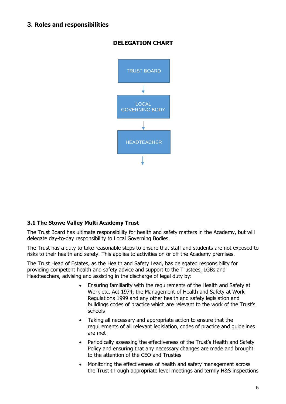## **3. Roles and responsibilities**

## **DELEGATION CHART**



## **3.1 The Stowe Valley Multi Academy Trust**

The Trust Board has ultimate responsibility for health and safety matters in the Academy, but will delegate day-to-day responsibility to Local Governing Bodies.

The Trust has a duty to take reasonable steps to ensure that staff and students are not exposed to risks to their health and safety. This applies to activities on or off the Academy premises.

The Trust Head of Estates, as the Health and Safety Lead, has delegated responsibility for providing competent health and safety advice and support to the Trustees, LGBs and Headteachers, advising and assisting in the discharge of legal duty by:

- Ensuring familiarity with the requirements of the Health and Safety at Work etc. Act 1974, the Management of Health and Safety at Work Regulations 1999 and any other health and safety legislation and buildings codes of practice which are relevant to the work of the Trust's schools
- Taking all necessary and appropriate action to ensure that the requirements of all relevant legislation, codes of practice and guidelines are met
- Periodically assessing the effectiveness of the Trust's Health and Safety Policy and ensuring that any necessary changes are made and brought to the attention of the CEO and Trusties
- Monitoring the effectiveness of health and safety management across the Trust through appropriate level meetings and termly H&S inspections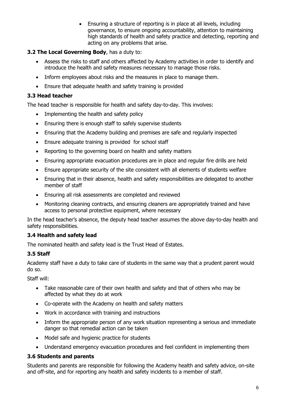• Ensuring a structure of reporting is in place at all levels, including governance, to ensure ongoing accountability, attention to maintaining high standards of health and safety practice and detecting, reporting and acting on any problems that arise.

## **3.2 The Local Governing Body**, has a duty to:

- Assess the risks to staff and others affected by Academy activities in order to identify and introduce the health and safety measures necessary to manage those risks.
- Inform employees about risks and the measures in place to manage them.
- Ensure that adequate health and safety training is provided

## **3.3 Head teacher**

The head teacher is responsible for health and safety day-to-day. This involves:

- Implementing the health and safety policy
- Ensuring there is enough staff to safely supervise students
- Ensuring that the Academy building and premises are safe and regularly inspected
- Ensure adequate training is provided for school staff
- Reporting to the governing board on health and safety matters
- Ensuring appropriate evacuation procedures are in place and regular fire drills are held
- Ensure appropriate security of the site consistent with all elements of students welfare
- Ensuring that in their absence, health and safety responsibilities are delegated to another member of staff
- Ensuring all risk assessments are completed and reviewed
- Monitoring cleaning contracts, and ensuring cleaners are appropriately trained and have access to personal protective equipment, where necessary

In the head teacher's absence, the deputy head teacher assumes the above day-to-day health and safety responsibilities.

## **3.4 Health and safety lead**

The nominated health and safety lead is the Trust Head of Estates.

## **3.5 Staff**

Academy staff have a duty to take care of students in the same way that a prudent parent would do so.

Staff will:

- Take reasonable care of their own health and safety and that of others who may be affected by what they do at work
- Co-operate with the Academy on health and safety matters
- Work in accordance with training and instructions
- Inform the appropriate person of any work situation representing a serious and immediate danger so that remedial action can be taken
- Model safe and hygienic practice for students
- Understand emergency evacuation procedures and feel confident in implementing them

## **3.6 Students and parents**

Students and parents are responsible for following the Academy health and safety advice, on-site and off-site, and for reporting any health and safety incidents to a member of staff.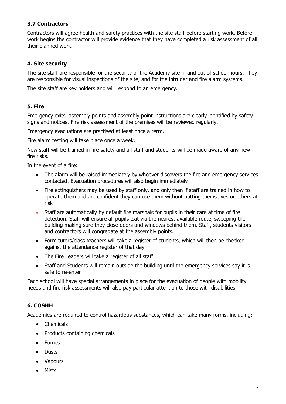## **3.7 Contractors**

Contractors will agree health and safety practices with the site staff before starting work. Before work begins the contractor will provide evidence that they have completed a risk assessment of all their planned work.

## **4. Site security**

The site staff are responsible for the security of the Academy site in and out of school hours. They are responsible for visual inspections of the site, and for the intruder and fire alarm systems.

The site staff are key holders and will respond to an emergency.

## **5. Fire**

Emergency exits, assembly points and assembly point instructions are clearly identified by safety signs and notices. Fire risk assessment of the premises will be reviewed regularly.

Emergency evacuations are practised at least once a term.

Fire alarm testing will take place once a week.

New staff will be trained in fire safety and all staff and students will be made aware of any new fire risks.

In the event of a fire:

- The alarm will be raised immediately by whoever discovers the fire and emergency services contacted. Evacuation procedures will also begin immediately
- Fire extinguishers may be used by staff only, and only then if staff are trained in how to operate them and are confident they can use them without putting themselves or others at risk
- Staff are automatically by default fire marshals for pupils in their care at time of fire detection. Staff will ensure all pupils exit via the nearest available route, sweeping the building making sure they close doors and windows behind them. Staff, students visitors and contractors will congregate at the assembly points.
- Form tutors/class teachers will take a register of students, which will then be checked against the attendance register of that day
- The Fire Leaders will take a register of all staff
- Staff and Students will remain outside the building until the emergency services say it is safe to re-enter

Each school will have special arrangements in place for the evacuation of people with mobility needs and fire risk assessments will also pay particular attention to those with disabilities.

## **6. COSHH**

Academies are required to control hazardous substances, which can take many forms, including:

- Chemicals
- Products containing chemicals
- Fumes
- Dusts
- Vapours
- Mists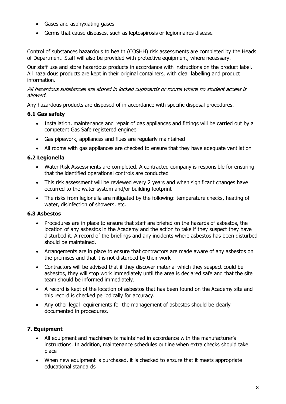- Gases and asphyxiating gases
- Germs that cause diseases, such as leptospirosis or legionnaires disease

Control of substances hazardous to health (COSHH) risk assessments are completed by the Heads of Department. Staff will also be provided with protective equipment, where necessary.

Our staff use and store hazardous products in accordance with instructions on the product label. All hazardous products are kept in their original containers, with clear labelling and product information.

#### All hazardous substances are stored in locked cupboards or rooms where no student access is allowed.

Any hazardous products are disposed of in accordance with specific disposal procedures.

## **6.1 Gas safety**

- Installation, maintenance and repair of gas appliances and fittings will be carried out by a competent Gas Safe registered engineer
- Gas pipework, appliances and flues are regularly maintained
- All rooms with gas appliances are checked to ensure that they have adequate ventilation

## **6.2 Legionella**

- Water Risk Assessments are completed. A contracted company is responsible for ensuring that the identified operational controls are conducted
- This risk assessment will be reviewed every 2 years and when significant changes have occurred to the water system and/or building footprint
- The risks from legionella are mitigated by the following: temperature checks, heating of water, disinfection of showers, etc.

## **6.3 Asbestos**

- Procedures are in place to ensure that staff are briefed on the hazards of asbestos, the location of any asbestos in the Academy and the action to take if they suspect they have disturbed it. A record of the briefings and any incidents where asbestos has been disturbed should be maintained.
- Arrangements are in place to ensure that contractors are made aware of any asbestos on the premises and that it is not disturbed by their work
- Contractors will be advised that if they discover material which they suspect could be asbestos, they will stop work immediately until the area is declared safe and that the site team should be informed immediately.
- A record is kept of the location of asbestos that has been found on the Academy site and this record is checked periodically for accuracy.
- Any other legal requirements for the management of asbestos should be clearly documented in procedures.

## **7. Equipment**

- All equipment and machinery is maintained in accordance with the manufacturer's instructions. In addition, maintenance schedules outline when extra checks should take place
- When new equipment is purchased, it is checked to ensure that it meets appropriate educational standards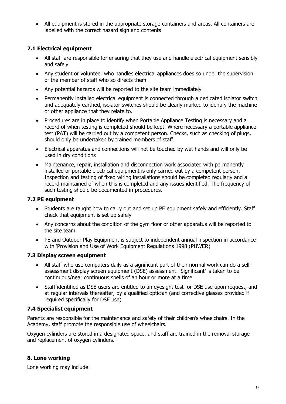• All equipment is stored in the appropriate storage containers and areas. All containers are labelled with the correct hazard sign and contents

## **7.1 Electrical equipment**

- All staff are responsible for ensuring that they use and handle electrical equipment sensibly and safely
- Any student or volunteer who handles electrical appliances does so under the supervision of the member of staff who so directs them
- Any potential hazards will be reported to the site team immediately
- Permanently installed electrical equipment is connected through a dedicated isolator switch and adequately earthed, isolator switches should be clearly marked to identify the machine or other appliance that they relate to.
- Procedures are in place to identify when Portable Appliance Testing is necessary and a record of when testing is completed should be kept. Where necessary a portable appliance test (PAT) will be carried out by a competent person. Checks, such as checking of plugs, should only be undertaken by trained members of staff.
- Electrical apparatus and connections will not be touched by wet hands and will only be used in dry conditions
- Maintenance, repair, installation and disconnection work associated with permanently installed or portable electrical equipment is only carried out by a competent person. Inspection and testing of fixed wiring installations should be completed regularly and a record maintained of when this is completed and any issues identified. The frequency of such testing should be documented in procedures.

#### **7.2 PE equipment**

- Students are taught how to carry out and set up PE equipment safely and efficiently. Staff check that equipment is set up safely
- Any concerns about the condition of the gym floor or other apparatus will be reported to the site team
- PE and Outdoor Play Equipment is subject to independent annual inspection in accordance with 'Provision and Use of Work Equipment Regulations 1998 (PUWER)

## **7.3 Display screen equipment**

- All staff who use computers daily as a significant part of their normal work can do a selfassessment display screen equipment (DSE) assessment. 'Significant' is taken to be continuous/near continuous spells of an hour or more at a time
- Staff identified as DSE users are entitled to an eyesight test for DSE use upon request, and at regular intervals thereafter, by a qualified optician (and corrective glasses provided if required specifically for DSE use)

## **7.4 Specialist equipment**

Parents are responsible for the maintenance and safety of their children's wheelchairs. In the Academy, staff promote the responsible use of wheelchairs.

Oxygen cylinders are stored in a designated space, and staff are trained in the removal storage and replacement of oxygen cylinders.

## **8. Lone working**

Lone working may include: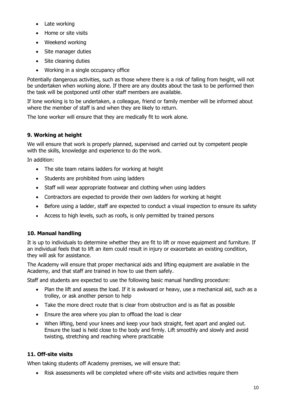- Late working
- Home or site visits
- Weekend working
- Site manager duties
- Site cleaning duties
- Working in a single occupancy office

Potentially dangerous activities, such as those where there is a risk of falling from height, will not be undertaken when working alone. If there are any doubts about the task to be performed then the task will be postponed until other staff members are available.

If lone working is to be undertaken, a colleague, friend or family member will be informed about where the member of staff is and when they are likely to return.

The lone worker will ensure that they are medically fit to work alone.

## **9. Working at height**

We will ensure that work is properly planned, supervised and carried out by competent people with the skills, knowledge and experience to do the work.

In addition:

- The site team retains ladders for working at height
- Students are prohibited from using ladders
- Staff will wear appropriate footwear and clothing when using ladders
- Contractors are expected to provide their own ladders for working at height
- Before using a ladder, staff are expected to conduct a visual inspection to ensure its safety
- Access to high levels, such as roofs, is only permitted by trained persons

## **10. Manual handling**

It is up to individuals to determine whether they are fit to lift or move equipment and furniture. If an individual feels that to lift an item could result in injury or exacerbate an existing condition, they will ask for assistance.

The Academy will ensure that proper mechanical aids and lifting equipment are available in the Academy, and that staff are trained in how to use them safely.

Staff and students are expected to use the following basic manual handling procedure:

- Plan the lift and assess the load. If it is awkward or heavy, use a mechanical aid, such as a trolley, or ask another person to help
- Take the more direct route that is clear from obstruction and is as flat as possible
- Ensure the area where you plan to offload the load is clear
- When lifting, bend your knees and keep your back straight, feet apart and angled out. Ensure the load is held close to the body and firmly. Lift smoothly and slowly and avoid twisting, stretching and reaching where practicable

## **11. Off-site visits**

When taking students off Academy premises, we will ensure that:

• Risk assessments will be completed where off-site visits and activities require them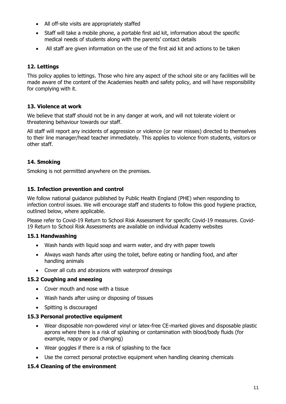- All off-site visits are appropriately staffed
- Staff will take a mobile phone, a portable first aid kit, information about the specific medical needs of students along with the parents' contact details
- All staff are given information on the use of the first aid kit and actions to be taken

## **12. Lettings**

This policy applies to lettings. Those who hire any aspect of the school site or any facilities will be made aware of the content of the Academies health and safety policy, and will have responsibility for complying with it.

## **13. Violence at work**

We believe that staff should not be in any danger at work, and will not tolerate violent or threatening behaviour towards our staff.

All staff will report any incidents of aggression or violence (or near misses) directed to themselves to their line manager/head teacher immediately. This applies to violence from students, visitors or other staff.

## **14. Smoking**

Smoking is not permitted anywhere on the premises.

## **15. Infection prevention and control**

We follow national guidance published by Public Health England (PHE) when responding to infection control issues. We will encourage staff and students to follow this good hygiene practice, outlined below, where applicable.

Please refer to Covid-19 Return to School Risk Assessment for specific Covid-19 measures. Covid-19 Return to School Risk Assessments are available on individual Academy websites

## **15.1 Handwashing**

- Wash hands with liquid soap and warm water, and dry with paper towels
- Always wash hands after using the toilet, before eating or handling food, and after handling animals
- Cover all cuts and abrasions with waterproof dressings

## **15.2 Coughing and sneezing**

- Cover mouth and nose with a tissue
- Wash hands after using or disposing of tissues
- Spitting is discouraged

## **15.3 Personal protective equipment**

- Wear disposable non-powdered vinyl or latex-free CE-marked gloves and disposable plastic aprons where there is a risk of splashing or contamination with blood/body fluids (for example, nappy or pad changing)
- Wear goggles if there is a risk of splashing to the face
- Use the correct personal protective equipment when handling cleaning chemicals

## **15.4 Cleaning of the environment**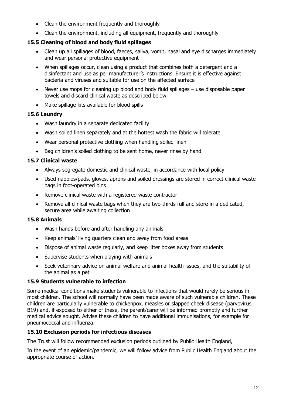- Clean the environment frequently and thoroughly
- Clean the environment, including all equipment, frequently and thoroughly

## **15.5 Cleaning of blood and body fluid spillages**

- Clean up all spillages of blood, faeces, saliva, vomit, nasal and eye discharges immediately and wear personal protective equipment
- When spillages occur, clean using a product that combines both a detergent and a disinfectant and use as per manufacturer's instructions. Ensure it is effective against bacteria and viruses and suitable for use on the affected surface
- Never use mops for cleaning up blood and body fluid spillages use disposable paper towels and discard clinical waste as described below
- Make spillage kits available for blood spills

## **15.6 Laundry**

- Wash laundry in a separate dedicated facility
- Wash soiled linen separately and at the hottest wash the fabric will tolerate
- Wear personal protective clothing when handling soiled linen
- Bag children's soiled clothing to be sent home, never rinse by hand

## **15.7 Clinical waste**

- Always segregate domestic and clinical waste, in accordance with local policy
- Used nappies/pads, gloves, aprons and soiled dressings are stored in correct clinical waste bags in foot-operated bins
- Remove clinical waste with a registered waste contractor
- Remove all clinical waste bags when they are two-thirds full and store in a dedicated, secure area while awaiting collection

## **15.8 Animals**

- Wash hands before and after handling any animals
- Keep animals' living quarters clean and away from food areas
- Dispose of animal waste regularly, and keep litter boxes away from students
- Supervise students when playing with animals
- Seek veterinary advice on animal welfare and animal health issues, and the suitability of the animal as a pet

## **15.9 Students vulnerable to infection**

Some medical conditions make students vulnerable to infections that would rarely be serious in most children. The school will normally have been made aware of such vulnerable children. These children are particularly vulnerable to chickenpox, measles or slapped cheek disease (parvovirus B19) and, if exposed to either of these, the parent/carer will be informed promptly and further medical advice sought. Advise these children to have additional immunisations, for example for pneumococcal and influenza.

## **15.10 Exclusion periods for infectious diseases**

The Trust will follow recommended exclusion periods outlined by Public Health England,

In the event of an epidemic/pandemic, we will follow advice from Public Health England about the appropriate course of action.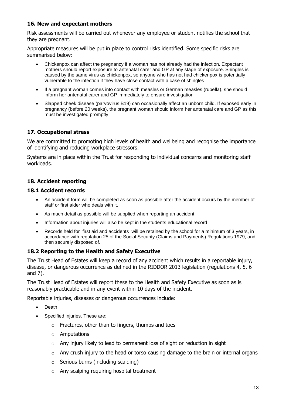## **16. New and expectant mothers**

Risk assessments will be carried out whenever any employee or student notifies the school that they are pregnant.

Appropriate measures will be put in place to control risks identified. Some specific risks are summarised below:

- Chickenpox can affect the pregnancy if a woman has not already had the infection. Expectant mothers should report exposure to antenatal carer and GP at any stage of exposure. Shingles is caused by the same virus as chickenpox, so anyone who has not had chickenpox is potentially vulnerable to the infection if they have close contact with a case of shingles
- If a pregnant woman comes into contact with measles or German measles (rubella), she should inform her antenatal carer and GP immediately to ensure investigation
- Slapped cheek disease (parvovirus B19) can occasionally affect an unborn child. If exposed early in pregnancy (before 20 weeks), the pregnant woman should inform her antenatal care and GP as this must be investigated promptly

## **17. Occupational stress**

We are committed to promoting high levels of health and wellbeing and recognise the importance of identifying and reducing workplace stressors.

Systems are in place within the Trust for responding to individual concerns and monitoring staff workloads.

## **18. Accident reporting**

#### **18.1 Accident records**

- An accident form will be completed as soon as possible after the accident occurs by the member of staff or first aider who deals with it.
- As much detail as possible will be supplied when reporting an accident
- Information about injuries will also be kept in the students educational record
- Records held for first aid and accidents will be retained by the school for a minimum of 3 years, in accordance with regulation 25 of the Social Security (Claims and Payments) Regulations 1979, and then securely disposed of.

## **18.2 Reporting to the Health and Safety Executive**

The Trust Head of Estates will keep a record of any accident which results in a reportable injury, disease, or dangerous occurrence as defined in the RIDDOR 2013 legislation (regulations 4, 5, 6 and 7).

The Trust Head of Estates will report these to the Health and Safety Executive as soon as is reasonably practicable and in any event within 10 days of the incident.

Reportable injuries, diseases or dangerous occurrences include:

- Death
- Specified injuries. These are:
	- o Fractures, other than to fingers, thumbs and toes
	- o Amputations
	- o Any injury likely to lead to permanent loss of sight or reduction in sight
	- $\circ$  Any crush injury to the head or torso causing damage to the brain or internal organs
	- o Serious burns (including scalding)
	- o Any scalping requiring hospital treatment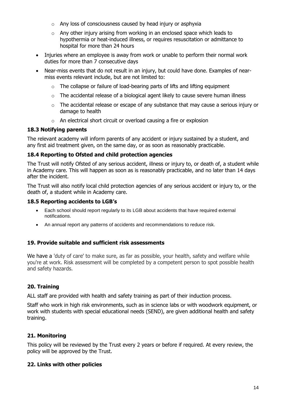- $\circ$  Any loss of consciousness caused by head injury or asphyxia
- $\circ$  Any other injury arising from working in an enclosed space which leads to hypothermia or heat-induced illness, or requires resuscitation or admittance to hospital for more than 24 hours
- Injuries where an employee is away from work or unable to perform their normal work duties for more than 7 consecutive days
- Near-miss events that do not result in an injury, but could have done. Examples of nearmiss events relevant include, but are not limited to:
	- $\circ$  The collapse or failure of load-bearing parts of lifts and lifting equipment
	- $\circ$  The accidental release of a biological agent likely to cause severe human illness
	- $\circ$  The accidental release or escape of any substance that may cause a serious injury or damage to health
	- o An electrical short circuit or overload causing a fire or explosion

#### **18.3 Notifying parents**

The relevant academy will inform parents of any accident or injury sustained by a student, and any first aid treatment given, on the same day, or as soon as reasonably practicable.

## **18.4 Reporting to Ofsted and child protection agencies**

The Trust will notify Ofsted of any serious accident, illness or injury to, or death of, a student while in Academy care. This will happen as soon as is reasonably practicable, and no later than 14 days after the incident.

The Trust will also notify local child protection agencies of any serious accident or injury to, or the death of, a student while in Academy care.

#### **18.5 Reporting accidents to LGB's**

- Each school should report regularly to its LGB about accidents that have required external notifications.
- An annual report any patterns of accidents and recommendations to reduce risk.

## **19. Provide suitable and sufficient risk assessments**

We have a 'duty of care' to make sure, as far as possible, your health, safety and welfare while you're at work. Risk assessment will be completed by a competent person to spot possible health and safety hazards.

## **20. Training**

ALL staff are provided with health and safety training as part of their induction process.

Staff who work in high risk environments, such as in science labs or with woodwork equipment, or work with students with special educational needs (SEND), are given additional health and safety training.

## **21. Monitoring**

This policy will be reviewed by the Trust every 2 years or before if required. At every review, the policy will be approved by the Trust.

#### **22. Links with other policies**